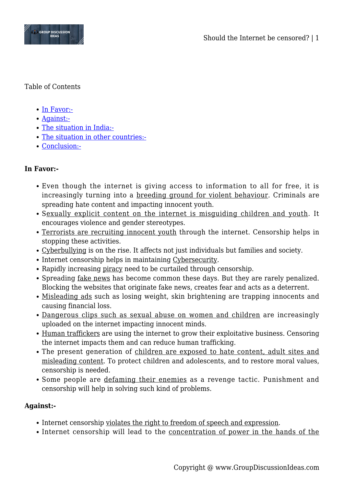

### Table of Contents

- [In Favor:-](#page--1-0)
- [Against:-](#page--1-0)
- [The situation in India:-](#page--1-0)
- [The situation in other countries:-](#page--1-0)
- [Conclusion:-](#page--1-0)

# **In Favor:-**

- Even though the internet is giving access to information to all for free, it is increasingly turning into a breeding ground for violent behaviour. Criminals are spreading hate content and impacting innocent youth.
- Sexually explicit content on the internet is misguiding children and youth. It encourages violence and gender stereotypes.
- Terrorists are recruiting innocent youth through the internet. Censorship helps in stopping these activities.
- Cyberbullying is on the rise. It affects not just individuals but families and society.
- Internet censorship helps in maintaining Cybersecurity.
- Rapidly increasing piracy need to be curtailed through censorship.
- Spreading fake news has become common these days. But they are rarely penalized. Blocking the websites that originate fake news, creates fear and acts as a deterrent.
- Misleading ads such as losing weight, skin brightening are trapping innocents and causing financial loss.
- Dangerous clips such as sexual abuse on women and children are increasingly uploaded on the internet impacting innocent minds.
- Human traffickers are using the internet to grow their exploitative business. Censoring the internet impacts them and can reduce human trafficking.
- The present generation of children are exposed to hate content, adult sites and misleading content. To protect children and adolescents, and to restore moral values, censorship is needed.
- Some people are defaming their enemies as a revenge tactic. Punishment and censorship will help in solving such kind of problems.

## **Against:-**

- Internet censorship violates the right to freedom of speech and expression.
- Internet censorship will lead to the concentration of power in the hands of the